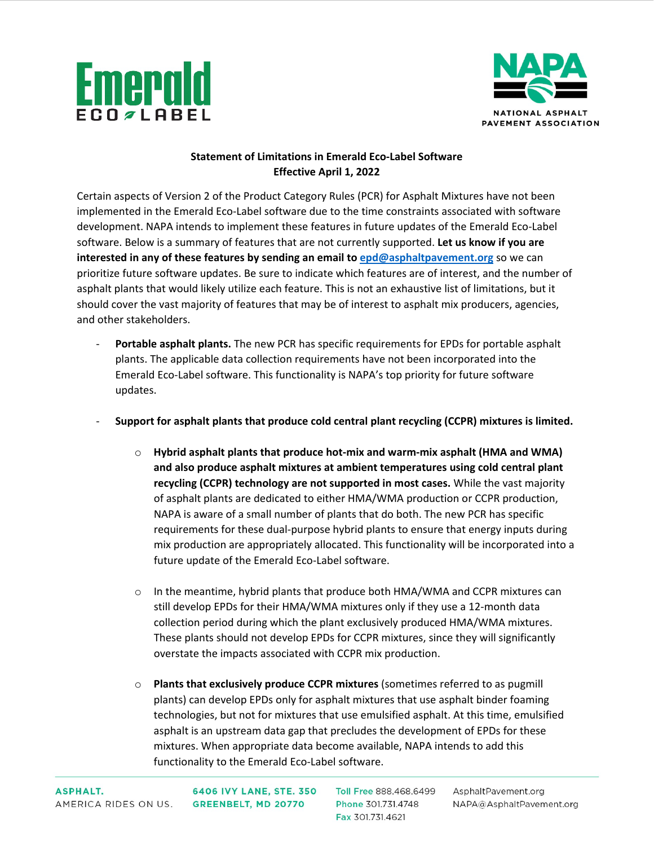



## **Statement of Limitations in Emerald Eco-Label Software Effective April 1, 2022**

Certain aspects of Version 2 of the Product Category Rules (PCR) for Asphalt Mixtures have not been implemented in the Emerald Eco-Label software due to the time constraints associated with software development. NAPA intends to implement these features in future updates of the Emerald Eco-Label software. Below is a summary of features that are not currently supported. **Let us know if you are**  interested in any of these features by sending an email to **epd@asphaltpavement.org** so we can prioritize future software updates. Be sure to indicate which features are of interest, and the number of asphalt plants that would likely utilize each feature. This is not an exhaustive list of limitations, but it should cover the vast majority of features that may be of interest to asphalt mix producers, agencies, and other stakeholders.

- **Portable asphalt plants.** The new PCR has specific requirements for EPDs for portable asphalt plants. The applicable data collection requirements have not been incorporated into the Emerald Eco-Label software. This functionality is NAPA's top priority for future software updates.
- **Support for asphalt plants that produce cold central plant recycling (CCPR) mixtures is limited.** 
	- o **Hybrid asphalt plants that produce hot-mix and warm-mix asphalt (HMA and WMA) and also produce asphalt mixtures at ambient temperatures using cold central plant recycling (CCPR) technology are not supported in most cases.** While the vast majority of asphalt plants are dedicated to either HMA/WMA production or CCPR production, NAPA is aware of a small number of plants that do both. The new PCR has specific requirements for these dual-purpose hybrid plants to ensure that energy inputs during mix production are appropriately allocated. This functionality will be incorporated into a future update of the Emerald Eco-Label software.
	- $\circ$  In the meantime, hybrid plants that produce both HMA/WMA and CCPR mixtures can still develop EPDs for their HMA/WMA mixtures only if they use a 12-month data collection period during which the plant exclusively produced HMA/WMA mixtures. These plants should not develop EPDs for CCPR mixtures, since they will significantly overstate the impacts associated with CCPR mix production.
	- o **Plants that exclusively produce CCPR mixtures** (sometimes referred to as pugmill plants) can develop EPDs only for asphalt mixtures that use asphalt binder foaming technologies, but not for mixtures that use emulsified asphalt. At this time, emulsified asphalt is an upstream data gap that precludes the development of EPDs for these mixtures. When appropriate data become available, NAPA intends to add this functionality to the Emerald Eco-Label software.